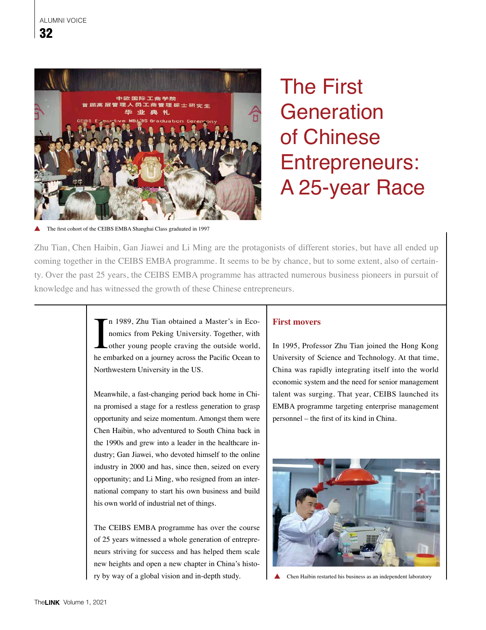

# The First **Generation** of Chinese Entrepreneurs: A 25-year Race

The first cohort of the CEIBS EMBA Shanghai Class graduated in 1997

Zhu Tian, Chen Haibin, Gan Jiawei and Li Ming are the protagonists of different stories, but have all ended up coming together in the CEIBS EMBA programme. It seems to be by chance, but to some extent, also of certainty. Over the past 25 years, the CEIBS EMBA programme has attracted numerous business pioneers in pursuit of knowledge and has witnessed the growth of these Chinese entrepreneurs.

> In 1989, Zhu Tian obtained a Master's in Economics from Peking University. Together, with other young people craving the outside world, he embarked on a journey across the Pacific Ocean to n 1989, Zhu Tian obtained a Master's in Economics from Peking University. Together, with other young people craving the outside world, Northwestern University in the US.

> Meanwhile, a fast-changing period back home in China promised a stage for a restless generation to grasp opportunity and seize momentum. Amongst them were Chen Haibin, who adventured to South China back in the 1990s and grew into a leader in the healthcare industry; Gan Jiawei, who devoted himself to the online industry in 2000 and has, since then, seized on every opportunity; and Li Ming, who resigned from an international company to start his own business and build his own world of industrial net of things.

> The CEIBS EMBA programme has over the course of 25 years witnessed a whole generation of entrepreneurs striving for success and has helped them scale new heights and open a new chapter in China's history by way of a global vision and in-depth study.

## **First movers**

In 1995, Professor Zhu Tian joined the Hong Kong University of Science and Technology. At that time, China was rapidly integrating itself into the world economic system and the need for senior management talent was surging. That year, CEIBS launched its EMBA programme targeting enterprise management personnel – the first of its kind in China.



 $\blacktriangle$ Chen Haibin restarted his business as an independent laboratory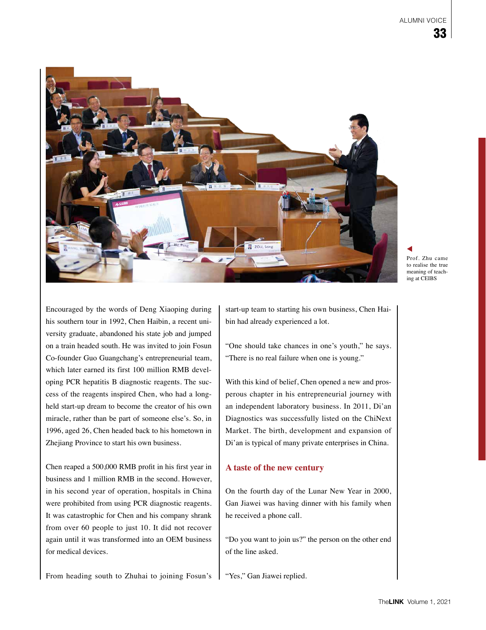

Prof. Zhu came to realise the true meaning of teaching at CEIBS

Encouraged by the words of Deng Xiaoping during his southern tour in 1992, Chen Haibin, a recent university graduate, abandoned his state job and jumped on a train headed south. He was invited to join Fosun Co-founder Guo Guangchang's entrepreneurial team, which later earned its first 100 million RMB developing PCR hepatitis B diagnostic reagents. The success of the reagents inspired Chen, who had a longheld start-up dream to become the creator of his own miracle, rather than be part of someone else's. So, in 1996, aged 26, Chen headed back to his hometown in Zhejiang Province to start his own business.

Chen reaped a 500,000 RMB profit in his first year in business and 1 million RMB in the second. However, in his second year of operation, hospitals in China were prohibited from using PCR diagnostic reagents. It was catastrophic for Chen and his company shrank from over 60 people to just 10. It did not recover again until it was transformed into an OEM business for medical devices.

From heading south to Zhuhai to joining Fosun's

start-up team to starting his own business, Chen Haibin had already experienced a lot.

"One should take chances in one's youth," he says. "There is no real failure when one is young."

With this kind of belief, Chen opened a new and prosperous chapter in his entrepreneurial journey with an independent laboratory business. In 2011, Di'an Diagnostics was successfully listed on the ChiNext Market. The birth, development and expansion of Di'an is typical of many private enterprises in China.

### **A taste of the new century**

On the fourth day of the Lunar New Year in 2000, Gan Jiawei was having dinner with his family when he received a phone call.

"Do you want to join us?" the person on the other end of the line asked.

"Yes," Gan Jiawei replied.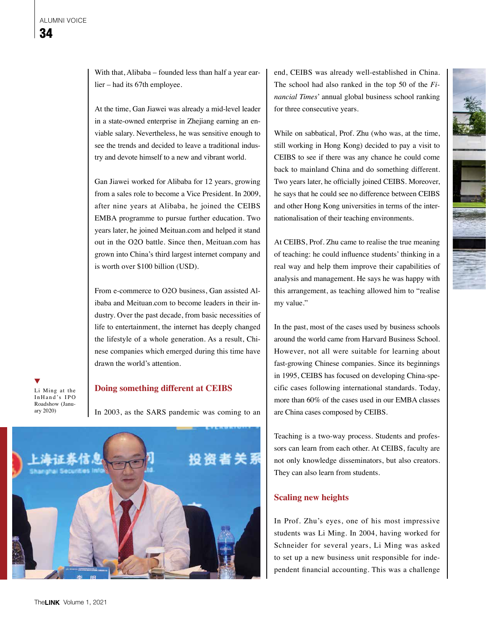With that, Alibaba – founded less than half a year earlier – had its 67th employee.

At the time, Gan Jiawei was already a mid-level leader in a state-owned enterprise in Zhejiang earning an enviable salary. Nevertheless, he was sensitive enough to see the trends and decided to leave a traditional industry and devote himself to a new and vibrant world.

Gan Jiawei worked for Alibaba for 12 years, growing from a sales role to become a Vice President. In 2009, after nine years at Alibaba, he joined the CEIBS EMBA programme to pursue further education. Two years later, he joined Meituan.com and helped it stand out in the O2O battle. Since then, Meituan.com has grown into China's third largest internet company and is worth over \$100 billion (USD).

From e-commerce to O2O business, Gan assisted Alibaba and Meituan.com to become leaders in their industry. Over the past decade, from basic necessities of life to entertainment, the internet has deeply changed the lifestyle of a whole generation. As a result, Chinese companies which emerged during this time have drawn the world's attention.

Li Ming at the In Hand's IPO Roadshow (January 2020)

### **Doing something different at CEIBS**

In 2003, as the SARS pandemic was coming to an



end, CEIBS was already well-established in China. The school had also ranked in the top 50 of the *Financial Times*' annual global business school ranking for three consecutive years.

While on sabbatical, Prof. Zhu (who was, at the time, still working in Hong Kong) decided to pay a visit to CEIBS to see if there was any chance he could come back to mainland China and do something different. Two years later, he officially joined CEIBS. Moreover, he says that he could see no difference between CEIBS and other Hong Kong universities in terms of the internationalisation of their teaching environments.

At CEIBS, Prof. Zhu came to realise the true meaning of teaching: he could influence students' thinking in a real way and help them improve their capabilities of analysis and management. He says he was happy with this arrangement, as teaching allowed him to "realise my value."

In the past, most of the cases used by business schools around the world came from Harvard Business School. However, not all were suitable for learning about fast-growing Chinese companies. Since its beginnings in 1995, CEIBS has focused on developing China-specific cases following international standards. Today, more than 60% of the cases used in our EMBA classes are China cases composed by CEIBS.

Teaching is a two-way process. Students and professors can learn from each other. At CEIBS, faculty are not only knowledge disseminators, but also creators. They can also learn from students.

### **Scaling new heights**

In Prof. Zhu's eyes, one of his most impressive students was Li Ming. In 2004, having worked for Schneider for several years, Li Ming was asked to set up a new business unit responsible for independent financial accounting. This was a challenge